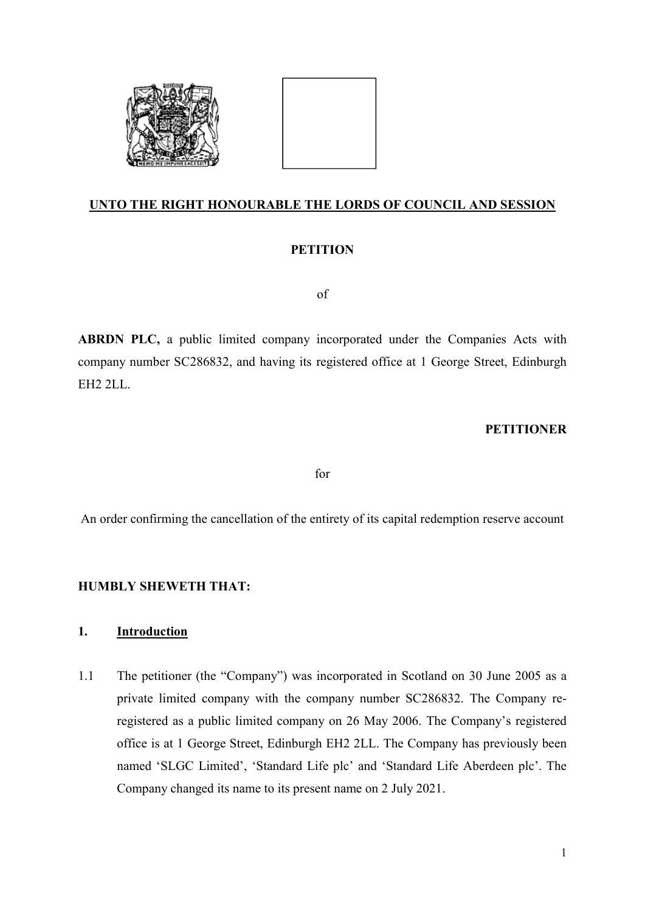



## UNTO THE RIGHT HONOURABLE THE LORDS OF COUNCIL AND SESSION

# **PETITION**

of

ABRDN PLC, a public limited company incorporated under the Companies Acts with company number SC286832, and having its registered office at 1 George Street, Edinburgh EH2 2LL.

### **PETITIONER**

for

An order confirming the cancellation of the entirety of its capital redemption reserve account

## HUMBLY SHEWETH THAT:

## 1. Introduction

1.1 The petitioner (the "Company") was incorporated in Scotland on 30 June 2005 as a private limited company with the company number SC286832. The Company reregistered as a public limited company on 26 May 2006. The Company's registered office is at 1 George Street, Edinburgh EH2 2LL. The Company has previously been named 'SLGC Limited', 'Standard Life plc' and 'Standard Life Aberdeen plc'. The Company changed its name to its present name on 2 July 2021.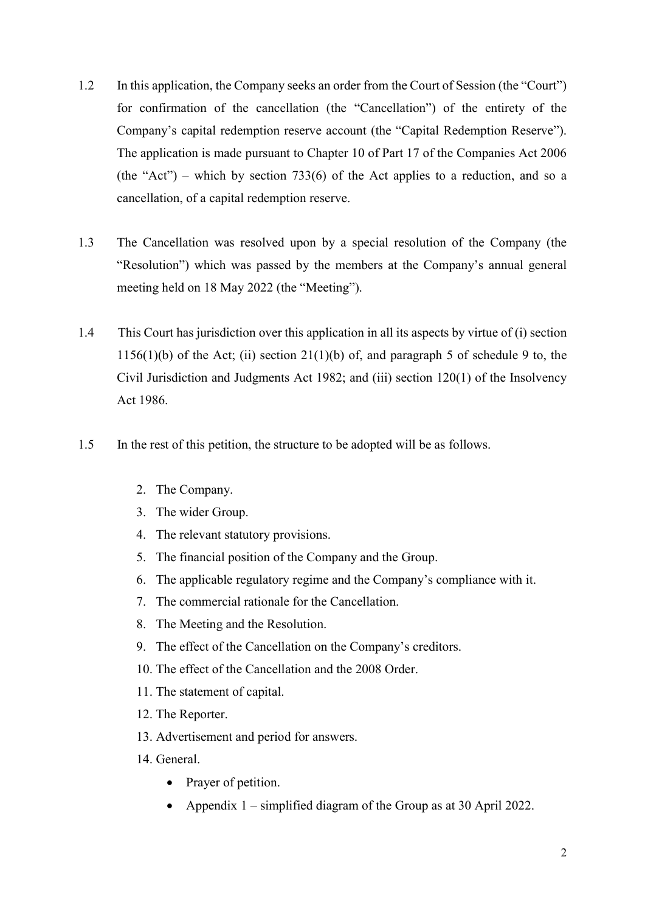- 1.2 In this application, the Company seeks an order from the Court of Session (the "Court") for confirmation of the cancellation (the "Cancellation") of the entirety of the Company's capital redemption reserve account (the "Capital Redemption Reserve"). The application is made pursuant to Chapter 10 of Part 17 of the Companies Act 2006 (the "Act") – which by section 733(6) of the Act applies to a reduction, and so a cancellation, of a capital redemption reserve.
- 1.3 The Cancellation was resolved upon by a special resolution of the Company (the "Resolution") which was passed by the members at the Company's annual general meeting held on 18 May 2022 (the "Meeting").
- 1.4 This Court has jurisdiction over this application in all its aspects by virtue of (i) section 1156(1)(b) of the Act; (ii) section 21(1)(b) of, and paragraph 5 of schedule 9 to, the Civil Jurisdiction and Judgments Act 1982; and (iii) section 120(1) of the Insolvency Act 1986.
- 1.5 In the rest of this petition, the structure to be adopted will be as follows.
	- 2. The Company.
	- 3. The wider Group.
	- 4. The relevant statutory provisions.
	- 5. The financial position of the Company and the Group.
	- 6. The applicable regulatory regime and the Company's compliance with it.
	- 7. The commercial rationale for the Cancellation.
	- 8. The Meeting and the Resolution.
	- 9. The effect of the Cancellation on the Company's creditors.
	- 10. The effect of the Cancellation and the 2008 Order.
	- 11. The statement of capital.
	- 12. The Reporter.
	- 13. Advertisement and period for answers.
	- 14. General.
		- Prayer of petition.
		- Appendix 1 simplified diagram of the Group as at 30 April 2022.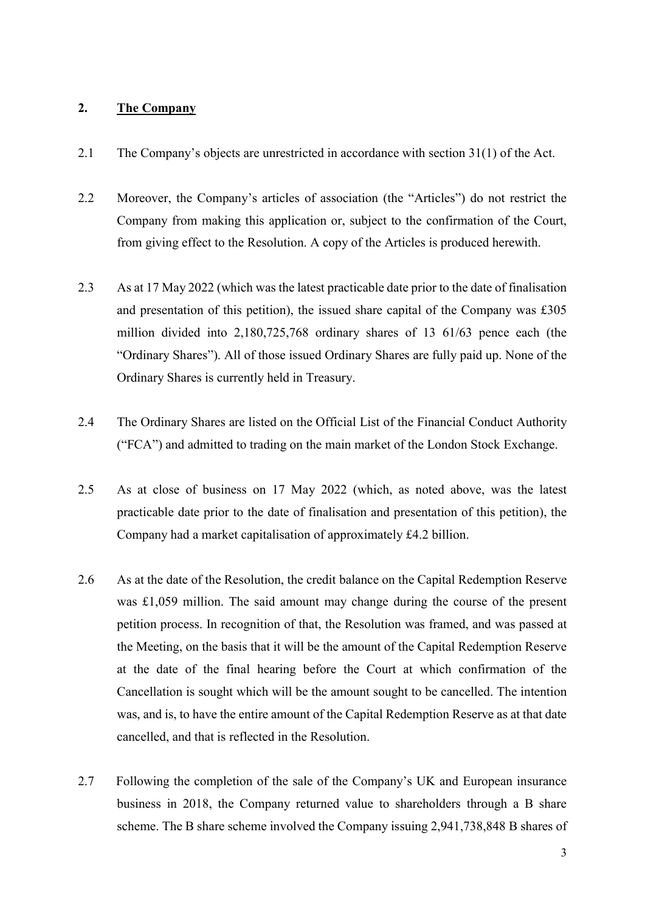### 2. The Company

- 2.1 The Company's objects are unrestricted in accordance with section 31(1) of the Act.
- 2.2 Moreover, the Company's articles of association (the "Articles") do not restrict the Company from making this application or, subject to the confirmation of the Court, from giving effect to the Resolution. A copy of the Articles is produced herewith.
- 2.3 As at 17 May 2022 (which was the latest practicable date prior to the date of finalisation and presentation of this petition), the issued share capital of the Company was £305 million divided into 2,180,725,768 ordinary shares of 13 61/63 pence each (the "Ordinary Shares"). All of those issued Ordinary Shares are fully paid up. None of the Ordinary Shares is currently held in Treasury.
- 2.4 The Ordinary Shares are listed on the Official List of the Financial Conduct Authority ("FCA") and admitted to trading on the main market of the London Stock Exchange.
- 2.5 As at close of business on 17 May 2022 (which, as noted above, was the latest practicable date prior to the date of finalisation and presentation of this petition), the Company had a market capitalisation of approximately £4.2 billion.
- 2.6 As at the date of the Resolution, the credit balance on the Capital Redemption Reserve was £1,059 million. The said amount may change during the course of the present petition process. In recognition of that, the Resolution was framed, and was passed at the Meeting, on the basis that it will be the amount of the Capital Redemption Reserve at the date of the final hearing before the Court at which confirmation of the Cancellation is sought which will be the amount sought to be cancelled. The intention was, and is, to have the entire amount of the Capital Redemption Reserve as at that date cancelled, and that is reflected in the Resolution.
- 2.7 Following the completion of the sale of the Company's UK and European insurance business in 2018, the Company returned value to shareholders through a B share scheme. The B share scheme involved the Company issuing 2,941,738,848 B shares of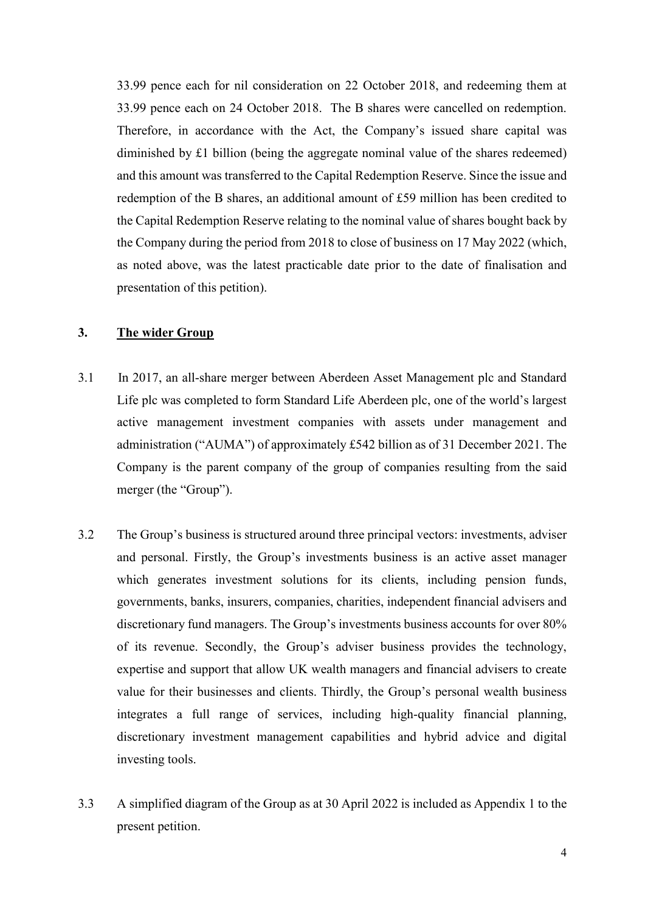33.99 pence each for nil consideration on 22 October 2018, and redeeming them at 33.99 pence each on 24 October 2018. The B shares were cancelled on redemption. Therefore, in accordance with the Act, the Company's issued share capital was diminished by £1 billion (being the aggregate nominal value of the shares redeemed) and this amount was transferred to the Capital Redemption Reserve. Since the issue and redemption of the B shares, an additional amount of £59 million has been credited to the Capital Redemption Reserve relating to the nominal value of shares bought back by the Company during the period from 2018 to close of business on 17 May 2022 (which, as noted above, was the latest practicable date prior to the date of finalisation and presentation of this petition).

### 3. The wider Group

- 3.1 In 2017, an all-share merger between Aberdeen Asset Management plc and Standard Life plc was completed to form Standard Life Aberdeen plc, one of the world's largest active management investment companies with assets under management and administration ("AUMA") of approximately £542 billion as of 31 December 2021. The Company is the parent company of the group of companies resulting from the said merger (the "Group").
- 3.2 The Group's business is structured around three principal vectors: investments, adviser and personal. Firstly, the Group's investments business is an active asset manager which generates investment solutions for its clients, including pension funds, governments, banks, insurers, companies, charities, independent financial advisers and discretionary fund managers. The Group's investments business accounts for over 80% of its revenue. Secondly, the Group's adviser business provides the technology, expertise and support that allow UK wealth managers and financial advisers to create value for their businesses and clients. Thirdly, the Group's personal wealth business integrates a full range of services, including high-quality financial planning, discretionary investment management capabilities and hybrid advice and digital investing tools.
- 3.3 A simplified diagram of the Group as at 30 April 2022 is included as Appendix 1 to the present petition.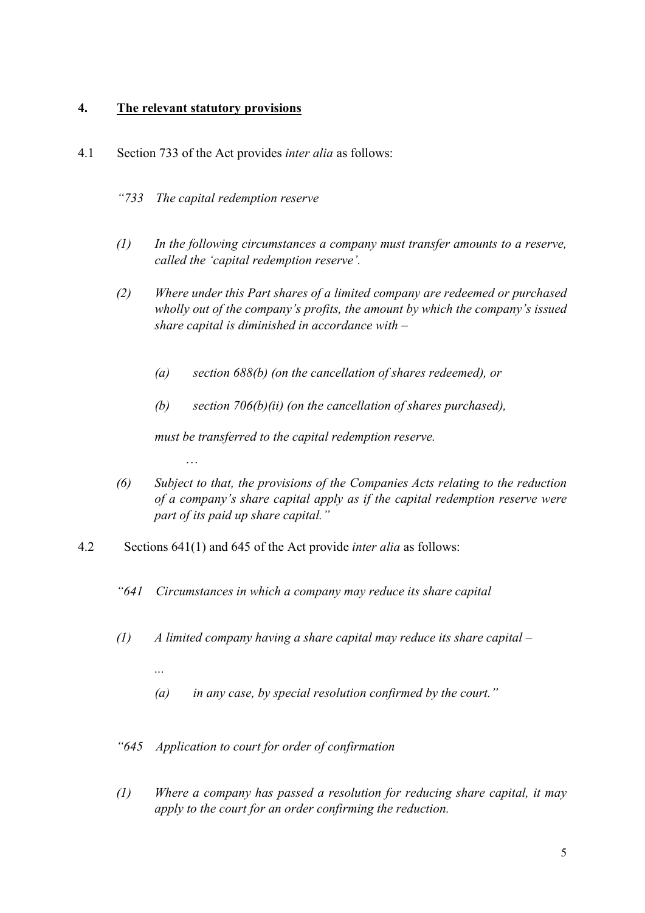# 4. The relevant statutory provisions

…

...

- 4.1 Section 733 of the Act provides inter alia as follows:
	- "733 The capital redemption reserve
	- $(1)$  In the following circumstances a company must transfer amounts to a reserve, called the 'capital redemption reserve'.
	- (2) Where under this Part shares of a limited company are redeemed or purchased wholly out of the company's profits, the amount by which the company's issued share capital is diminished in accordance with –
		- (a) section 688(b) (on the cancellation of shares redeemed), or
		- (b) section  $706(b)(ii)$  (on the cancellation of shares purchased),

must be transferred to the capital redemption reserve.

- (6) Subject to that, the provisions of the Companies Acts relating to the reduction of a company's share capital apply as if the capital redemption reserve were part of its paid up share capital."
- 4.2 Sections 641(1) and 645 of the Act provide inter alia as follows:
	- "641 Circumstances in which a company may reduce its share capital
	- (1) A limited company having a share capital may reduce its share capital  $-$ 
		- $(a)$  in any case, by special resolution confirmed by the court."
	- "645 Application to court for order of confirmation
	- (1) Where a company has passed a resolution for reducing share capital, it may apply to the court for an order confirming the reduction.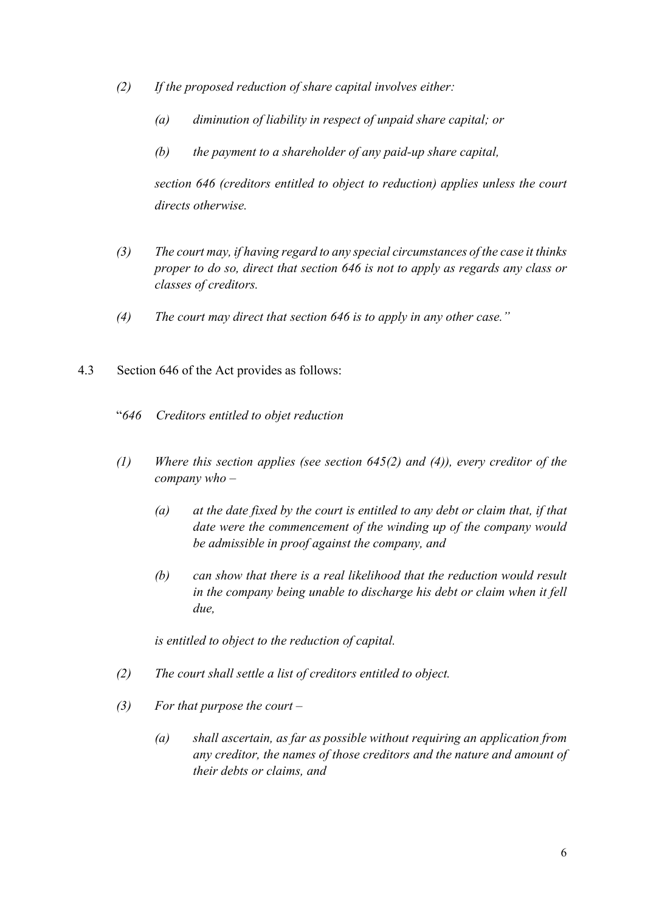- (2) If the proposed reduction of share capital involves either:
	- (a) diminution of liability in respect of unpaid share capital; or
	- $(b)$  the payment to a shareholder of any paid-up share capital,

section 646 (creditors entitled to object to reduction) applies unless the court directs otherwise.

- (3) The court may, if having regard to any special circumstances of the case it thinks proper to do so, direct that section 646 is not to apply as regards any class or classes of creditors.
- (4) The court may direct that section 646 is to apply in any other case."
- 4.3 Section 646 of the Act provides as follows:
	- "646 Creditors entitled to objet reduction
	- (1) Where this section applies (see section 645(2) and (4)), every creditor of the company who –
		- (a) at the date fixed by the court is entitled to any debt or claim that, if that date were the commencement of the winding up of the company would be admissible in proof against the company, and
		- (b) can show that there is a real likelihood that the reduction would result in the company being unable to discharge his debt or claim when it fell due,

is entitled to object to the reduction of capital.

- (2) The court shall settle a list of creditors entitled to object.
- (3) For that purpose the court  $-$ 
	- (a) shall ascertain, as far as possible without requiring an application from any creditor, the names of those creditors and the nature and amount of their debts or claims, and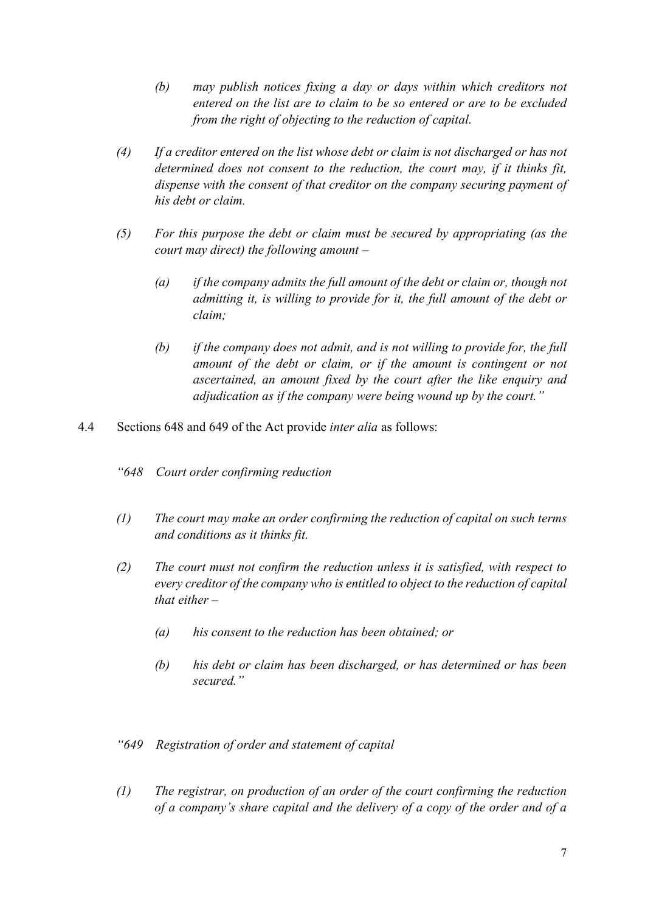- (b) may publish notices fixing a day or days within which creditors not entered on the list are to claim to be so entered or are to be excluded from the right of objecting to the reduction of capital.
- (4) If a creditor entered on the list whose debt or claim is not discharged or has not determined does not consent to the reduction, the court may, if it thinks fit, dispense with the consent of that creditor on the company securing payment of his debt or claim.
- (5) For this purpose the debt or claim must be secured by appropriating (as the court may direct) the following amount –
	- (a) if the company admits the full amount of the debt or claim or, though not admitting it, is willing to provide for it, the full amount of the debt or claim;
	- (b) if the company does not admit, and is not willing to provide for, the full amount of the debt or claim, or if the amount is contingent or not ascertained, an amount fixed by the court after the like enquiry and adjudication as if the company were being wound up by the court."
- 4.4 Sections 648 and 649 of the Act provide inter alia as follows:
	- "648 Court order confirming reduction
	- (1) The court may make an order confirming the reduction of capital on such terms and conditions as it thinks fit.
	- (2) The court must not confirm the reduction unless it is satisfied, with respect to every creditor of the company who is entitled to object to the reduction of capital that either  $-$ 
		- (a) his consent to the reduction has been obtained; or
		- (b) his debt or claim has been discharged, or has determined or has been secured."
	- "649 Registration of order and statement of capital
	- (1) The registrar, on production of an order of the court confirming the reduction of a company's share capital and the delivery of a copy of the order and of a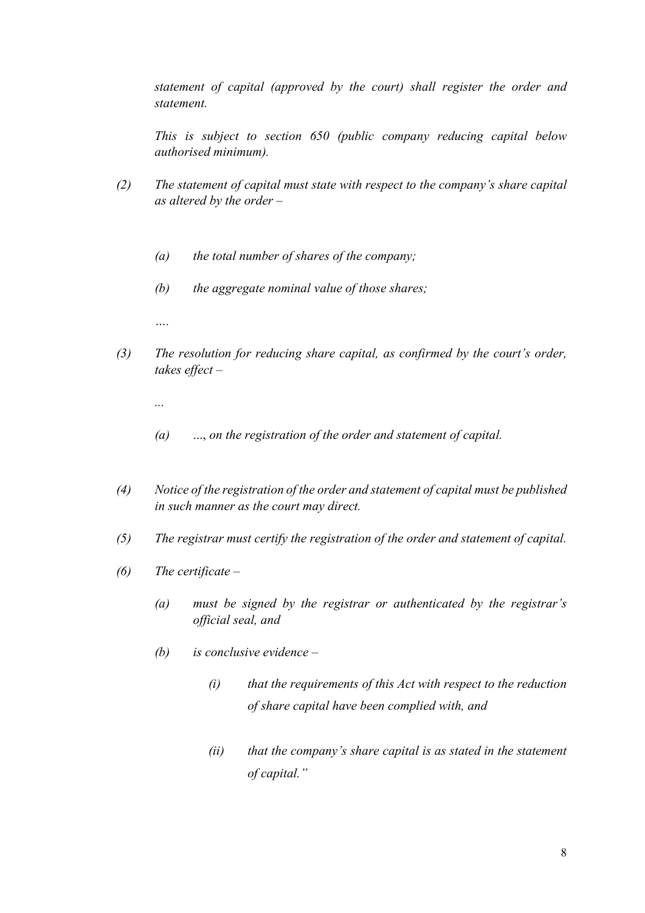statement of capital (approved by the court) shall register the order and statement.

This is subject to section 650 (public company reducing capital below authorised minimum).

- (2) The statement of capital must state with respect to the company's share capital as altered by the order –
	- (a) the total number of shares of the company;
	- $(b)$  the aggregate nominal value of those shares;

….

(3) The resolution for reducing share capital, as confirmed by the court's order, takes effect –

...

- $(a)$  ..., on the registration of the order and statement of capital.
- (4) Notice of the registration of the order and statement of capital must be published in such manner as the court may direct.
- (5) The registrar must certify the registration of the order and statement of capital.
- $(6)$  The certificate
	- (a) must be signed by the registrar or authenticated by the registrar's official seal, and
	- (b) is conclusive evidence
		- $(i)$  that the requirements of this Act with respect to the reduction of share capital have been complied with, and
		- $(ii)$  that the company's share capital is as stated in the statement of capital."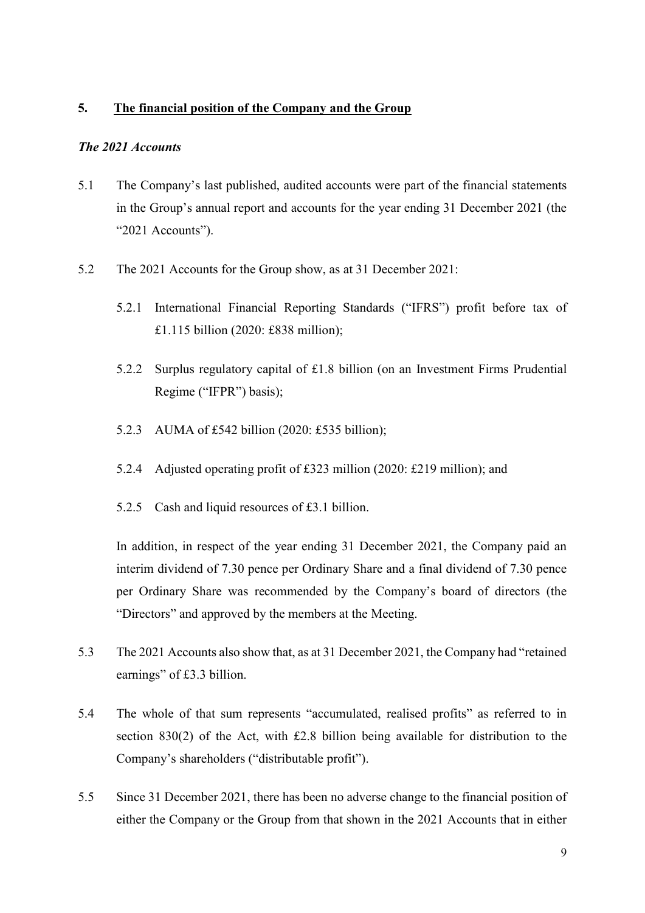### 5. The financial position of the Company and the Group

#### The 2021 Accounts

- 5.1 The Company's last published, audited accounts were part of the financial statements in the Group's annual report and accounts for the year ending 31 December 2021 (the "2021 Accounts").
- 5.2 The 2021 Accounts for the Group show, as at 31 December 2021:
	- 5.2.1 International Financial Reporting Standards ("IFRS") profit before tax of £1.115 billion (2020: £838 million);
	- 5.2.2 Surplus regulatory capital of £1.8 billion (on an Investment Firms Prudential Regime ("IFPR") basis);
	- 5.2.3 AUMA of £542 billion (2020: £535 billion);
	- 5.2.4 Adjusted operating profit of £323 million (2020: £219 million); and
	- 5.2.5 Cash and liquid resources of £3.1 billion.

In addition, in respect of the year ending 31 December 2021, the Company paid an interim dividend of 7.30 pence per Ordinary Share and a final dividend of 7.30 pence per Ordinary Share was recommended by the Company's board of directors (the "Directors" and approved by the members at the Meeting.

- 5.3 The 2021 Accounts also show that, as at 31 December 2021, the Company had "retained earnings" of £3.3 billion.
- 5.4 The whole of that sum represents "accumulated, realised profits" as referred to in section 830(2) of the Act, with £2.8 billion being available for distribution to the Company's shareholders ("distributable profit").
- 5.5 Since 31 December 2021, there has been no adverse change to the financial position of either the Company or the Group from that shown in the 2021 Accounts that in either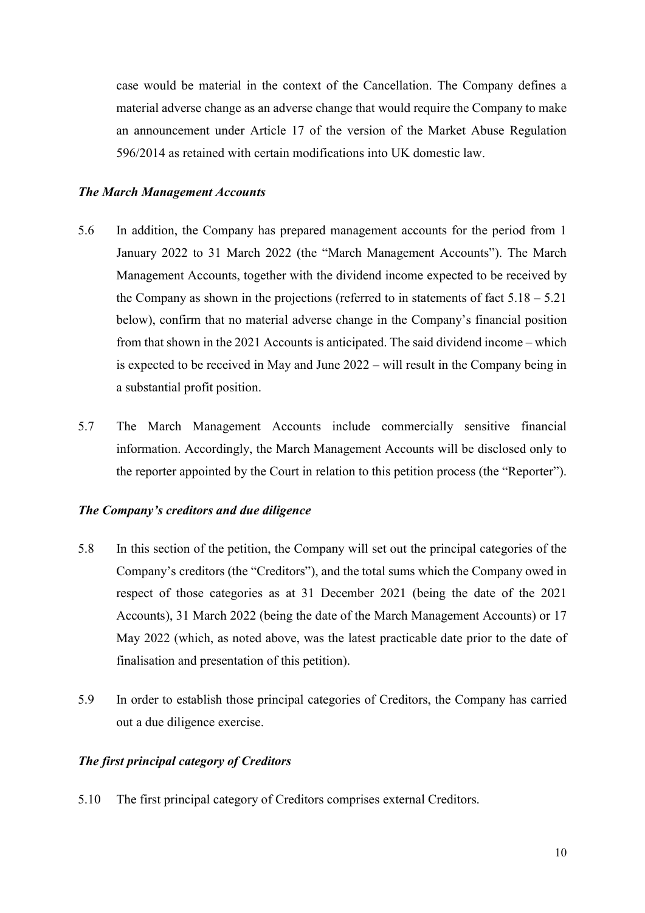case would be material in the context of the Cancellation. The Company defines a material adverse change as an adverse change that would require the Company to make an announcement under Article 17 of the version of the Market Abuse Regulation 596/2014 as retained with certain modifications into UK domestic law.

#### The March Management Accounts

- 5.6 In addition, the Company has prepared management accounts for the period from 1 January 2022 to 31 March 2022 (the "March Management Accounts"). The March Management Accounts, together with the dividend income expected to be received by the Company as shown in the projections (referred to in statements of fact  $5.18 - 5.21$ below), confirm that no material adverse change in the Company's financial position from that shown in the 2021 Accounts is anticipated. The said dividend income – which is expected to be received in May and June 2022 – will result in the Company being in a substantial profit position.
- 5.7 The March Management Accounts include commercially sensitive financial information. Accordingly, the March Management Accounts will be disclosed only to the reporter appointed by the Court in relation to this petition process (the "Reporter").

#### The Company's creditors and due diligence

- 5.8 In this section of the petition, the Company will set out the principal categories of the Company's creditors (the "Creditors"), and the total sums which the Company owed in respect of those categories as at 31 December 2021 (being the date of the 2021 Accounts), 31 March 2022 (being the date of the March Management Accounts) or 17 May 2022 (which, as noted above, was the latest practicable date prior to the date of finalisation and presentation of this petition).
- 5.9 In order to establish those principal categories of Creditors, the Company has carried out a due diligence exercise.

#### The first principal category of Creditors

5.10 The first principal category of Creditors comprises external Creditors.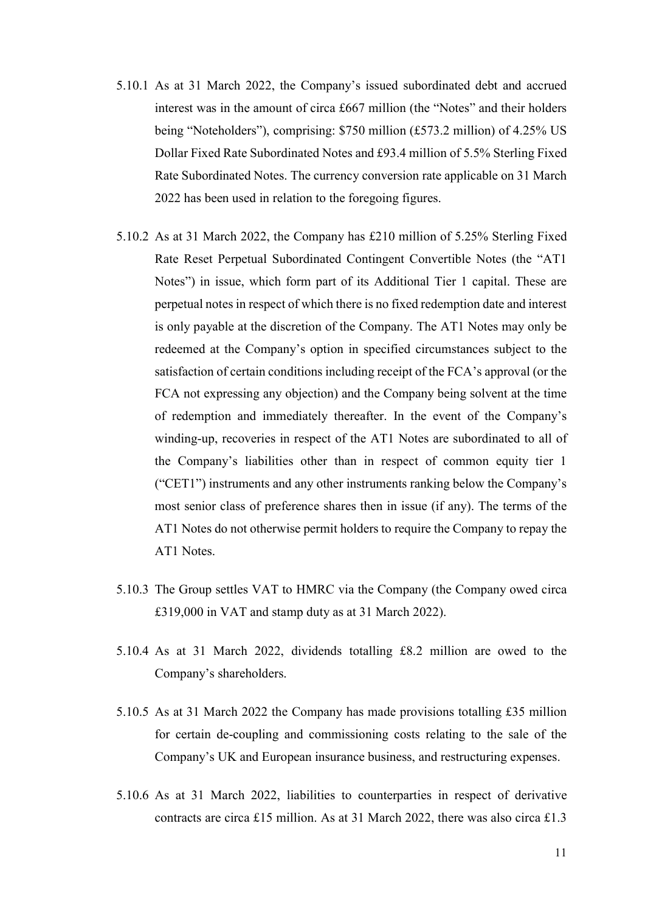- 5.10.1 As at 31 March 2022, the Company's issued subordinated debt and accrued interest was in the amount of circa £667 million (the "Notes" and their holders being "Noteholders"), comprising: \$750 million (£573.2 million) of 4.25% US Dollar Fixed Rate Subordinated Notes and £93.4 million of 5.5% Sterling Fixed Rate Subordinated Notes. The currency conversion rate applicable on 31 March 2022 has been used in relation to the foregoing figures.
- 5.10.2 As at 31 March 2022, the Company has £210 million of 5.25% Sterling Fixed Rate Reset Perpetual Subordinated Contingent Convertible Notes (the "AT1 Notes") in issue, which form part of its Additional Tier 1 capital. These are perpetual notes in respect of which there is no fixed redemption date and interest is only payable at the discretion of the Company. The AT1 Notes may only be redeemed at the Company's option in specified circumstances subject to the satisfaction of certain conditions including receipt of the FCA's approval (or the FCA not expressing any objection) and the Company being solvent at the time of redemption and immediately thereafter. In the event of the Company's winding-up, recoveries in respect of the AT1 Notes are subordinated to all of the Company's liabilities other than in respect of common equity tier 1 ("CET1") instruments and any other instruments ranking below the Company's most senior class of preference shares then in issue (if any). The terms of the AT1 Notes do not otherwise permit holders to require the Company to repay the AT1 Notes.
- 5.10.3 The Group settles VAT to HMRC via the Company (the Company owed circa £319,000 in VAT and stamp duty as at 31 March 2022).
- 5.10.4 As at 31 March 2022, dividends totalling £8.2 million are owed to the Company's shareholders.
- 5.10.5 As at 31 March 2022 the Company has made provisions totalling £35 million for certain de-coupling and commissioning costs relating to the sale of the Company's UK and European insurance business, and restructuring expenses.
- 5.10.6 As at 31 March 2022, liabilities to counterparties in respect of derivative contracts are circa £15 million. As at 31 March 2022, there was also circa £1.3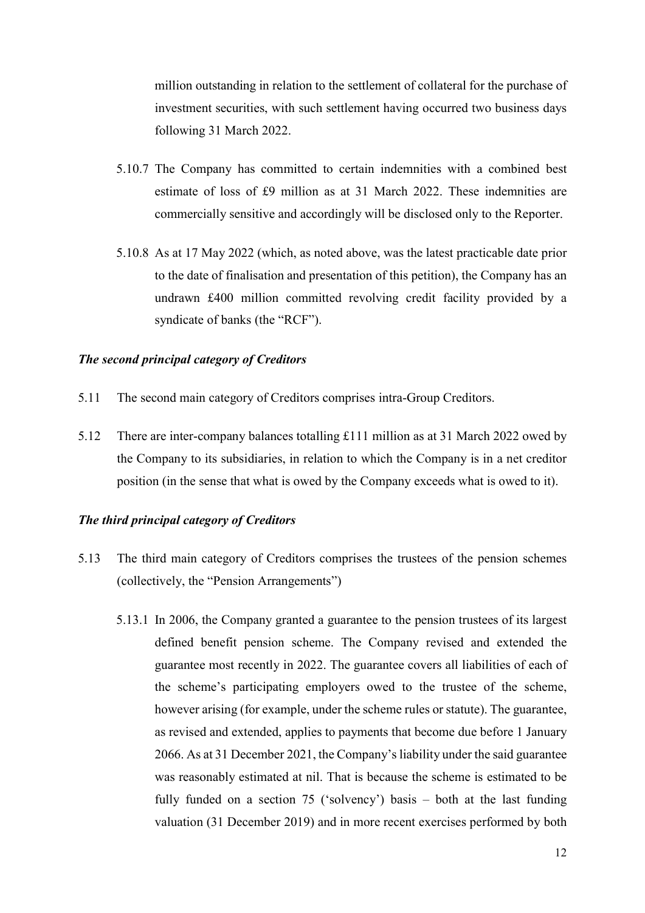million outstanding in relation to the settlement of collateral for the purchase of investment securities, with such settlement having occurred two business days following 31 March 2022.

- 5.10.7 The Company has committed to certain indemnities with a combined best estimate of loss of £9 million as at 31 March 2022. These indemnities are commercially sensitive and accordingly will be disclosed only to the Reporter.
- 5.10.8 As at 17 May 2022 (which, as noted above, was the latest practicable date prior to the date of finalisation and presentation of this petition), the Company has an undrawn £400 million committed revolving credit facility provided by a syndicate of banks (the "RCF").

#### The second principal category of Creditors

- 5.11 The second main category of Creditors comprises intra-Group Creditors.
- 5.12 There are inter-company balances totalling £111 million as at 31 March 2022 owed by the Company to its subsidiaries, in relation to which the Company is in a net creditor position (in the sense that what is owed by the Company exceeds what is owed to it).

#### The third principal category of Creditors

- 5.13 The third main category of Creditors comprises the trustees of the pension schemes (collectively, the "Pension Arrangements")
	- 5.13.1 In 2006, the Company granted a guarantee to the pension trustees of its largest defined benefit pension scheme. The Company revised and extended the guarantee most recently in 2022. The guarantee covers all liabilities of each of the scheme's participating employers owed to the trustee of the scheme, however arising (for example, under the scheme rules or statute). The guarantee, as revised and extended, applies to payments that become due before 1 January 2066. As at 31 December 2021, the Company's liability under the said guarantee was reasonably estimated at nil. That is because the scheme is estimated to be fully funded on a section 75 ('solvency') basis – both at the last funding valuation (31 December 2019) and in more recent exercises performed by both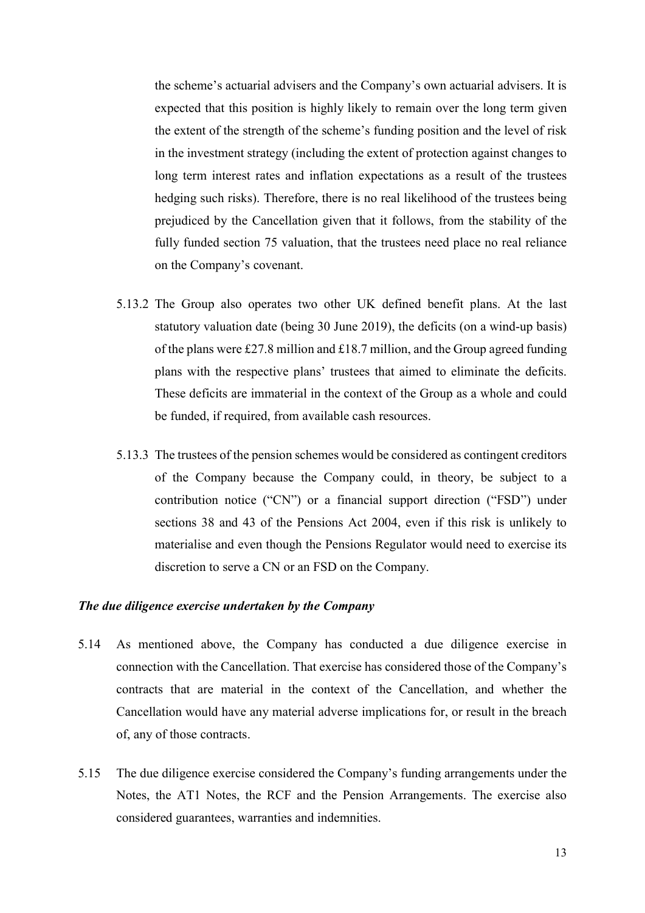the scheme's actuarial advisers and the Company's own actuarial advisers. It is expected that this position is highly likely to remain over the long term given the extent of the strength of the scheme's funding position and the level of risk in the investment strategy (including the extent of protection against changes to long term interest rates and inflation expectations as a result of the trustees hedging such risks). Therefore, there is no real likelihood of the trustees being prejudiced by the Cancellation given that it follows, from the stability of the fully funded section 75 valuation, that the trustees need place no real reliance on the Company's covenant.

- 5.13.2 The Group also operates two other UK defined benefit plans. At the last statutory valuation date (being 30 June 2019), the deficits (on a wind-up basis) of the plans were £27.8 million and £18.7 million, and the Group agreed funding plans with the respective plans' trustees that aimed to eliminate the deficits. These deficits are immaterial in the context of the Group as a whole and could be funded, if required, from available cash resources.
- 5.13.3 The trustees of the pension schemes would be considered as contingent creditors of the Company because the Company could, in theory, be subject to a contribution notice ("CN") or a financial support direction ("FSD") under sections 38 and 43 of the Pensions Act 2004, even if this risk is unlikely to materialise and even though the Pensions Regulator would need to exercise its discretion to serve a CN or an FSD on the Company.

#### The due diligence exercise undertaken by the Company

- 5.14 As mentioned above, the Company has conducted a due diligence exercise in connection with the Cancellation. That exercise has considered those of the Company's contracts that are material in the context of the Cancellation, and whether the Cancellation would have any material adverse implications for, or result in the breach of, any of those contracts.
- 5.15 The due diligence exercise considered the Company's funding arrangements under the Notes, the AT1 Notes, the RCF and the Pension Arrangements. The exercise also considered guarantees, warranties and indemnities.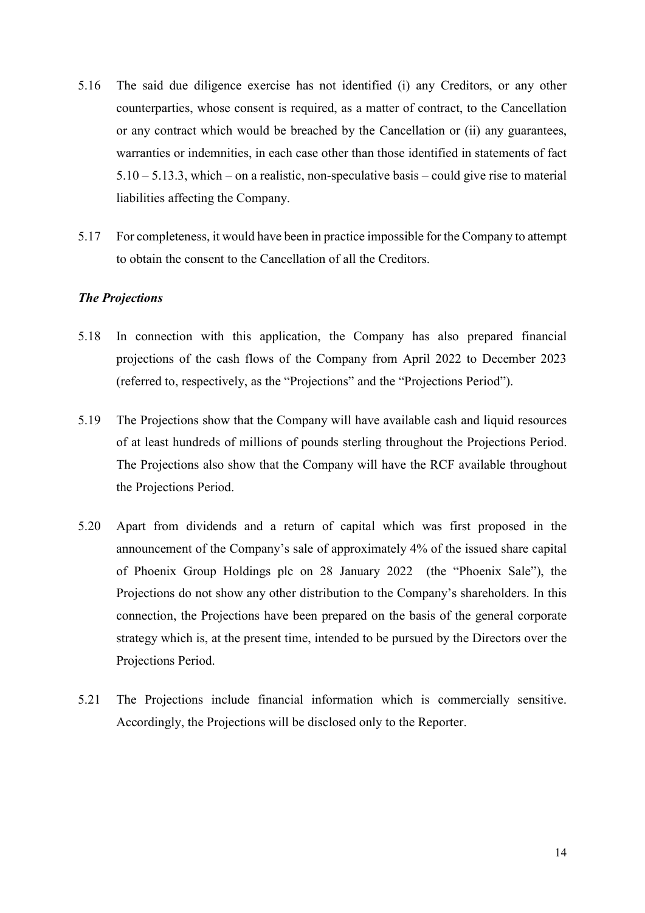- 5.16 The said due diligence exercise has not identified (i) any Creditors, or any other counterparties, whose consent is required, as a matter of contract, to the Cancellation or any contract which would be breached by the Cancellation or (ii) any guarantees, warranties or indemnities, in each case other than those identified in statements of fact 5.10 – 5.13.3, which – on a realistic, non-speculative basis – could give rise to material liabilities affecting the Company.
- 5.17 For completeness, it would have been in practice impossible for the Company to attempt to obtain the consent to the Cancellation of all the Creditors.

#### The Projections

- 5.18 In connection with this application, the Company has also prepared financial projections of the cash flows of the Company from April 2022 to December 2023 (referred to, respectively, as the "Projections" and the "Projections Period").
- 5.19 The Projections show that the Company will have available cash and liquid resources of at least hundreds of millions of pounds sterling throughout the Projections Period. The Projections also show that the Company will have the RCF available throughout the Projections Period.
- 5.20 Apart from dividends and a return of capital which was first proposed in the announcement of the Company's sale of approximately 4% of the issued share capital of Phoenix Group Holdings plc on 28 January 2022 (the "Phoenix Sale"), the Projections do not show any other distribution to the Company's shareholders. In this connection, the Projections have been prepared on the basis of the general corporate strategy which is, at the present time, intended to be pursued by the Directors over the Projections Period.
- 5.21 The Projections include financial information which is commercially sensitive. Accordingly, the Projections will be disclosed only to the Reporter.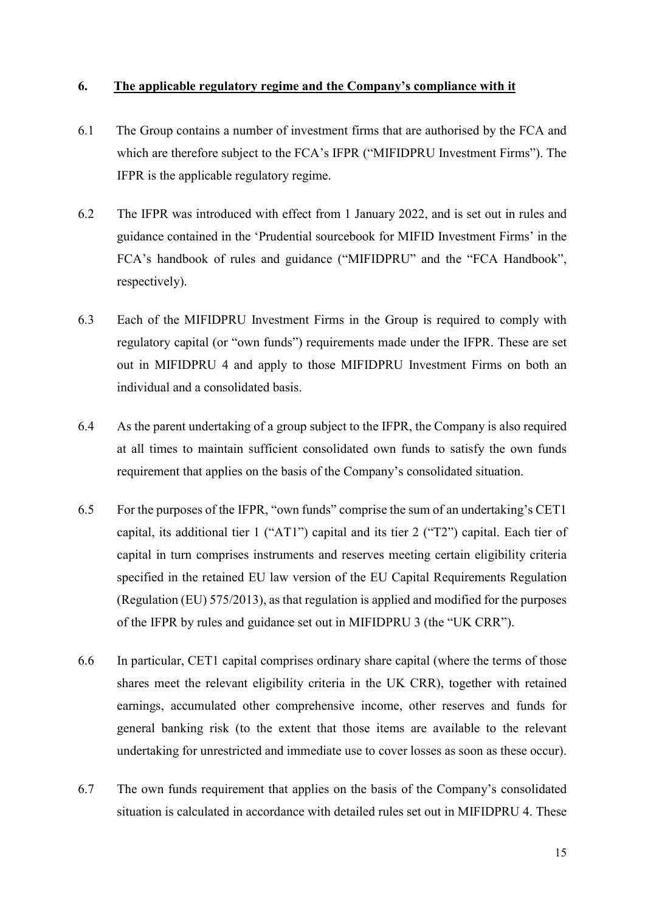#### 6. The applicable regulatory regime and the Company's compliance with it

- 6.1 The Group contains a number of investment firms that are authorised by the FCA and which are therefore subject to the FCA's IFPR ("MIFIDPRU Investment Firms"). The IFPR is the applicable regulatory regime.
- 6.2 The IFPR was introduced with effect from 1 January 2022, and is set out in rules and guidance contained in the 'Prudential sourcebook for MIFID Investment Firms' in the FCA's handbook of rules and guidance ("MIFIDPRU" and the "FCA Handbook", respectively).
- 6.3 Each of the MIFIDPRU Investment Firms in the Group is required to comply with regulatory capital (or "own funds") requirements made under the IFPR. These are set out in MIFIDPRU 4 and apply to those MIFIDPRU Investment Firms on both an individual and a consolidated basis.
- 6.4 As the parent undertaking of a group subject to the IFPR, the Company is also required at all times to maintain sufficient consolidated own funds to satisfy the own funds requirement that applies on the basis of the Company's consolidated situation.
- 6.5 For the purposes of the IFPR, "own funds" comprise the sum of an undertaking's CET1 capital, its additional tier 1 ("AT1") capital and its tier 2 ("T2") capital. Each tier of capital in turn comprises instruments and reserves meeting certain eligibility criteria specified in the retained EU law version of the EU Capital Requirements Regulation (Regulation (EU) 575/2013), as that regulation is applied and modified for the purposes of the IFPR by rules and guidance set out in MIFIDPRU 3 (the "UK CRR").
- 6.6 In particular, CET1 capital comprises ordinary share capital (where the terms of those shares meet the relevant eligibility criteria in the UK CRR), together with retained earnings, accumulated other comprehensive income, other reserves and funds for general banking risk (to the extent that those items are available to the relevant undertaking for unrestricted and immediate use to cover losses as soon as these occur).
- 6.7 The own funds requirement that applies on the basis of the Company's consolidated situation is calculated in accordance with detailed rules set out in MIFIDPRU 4. These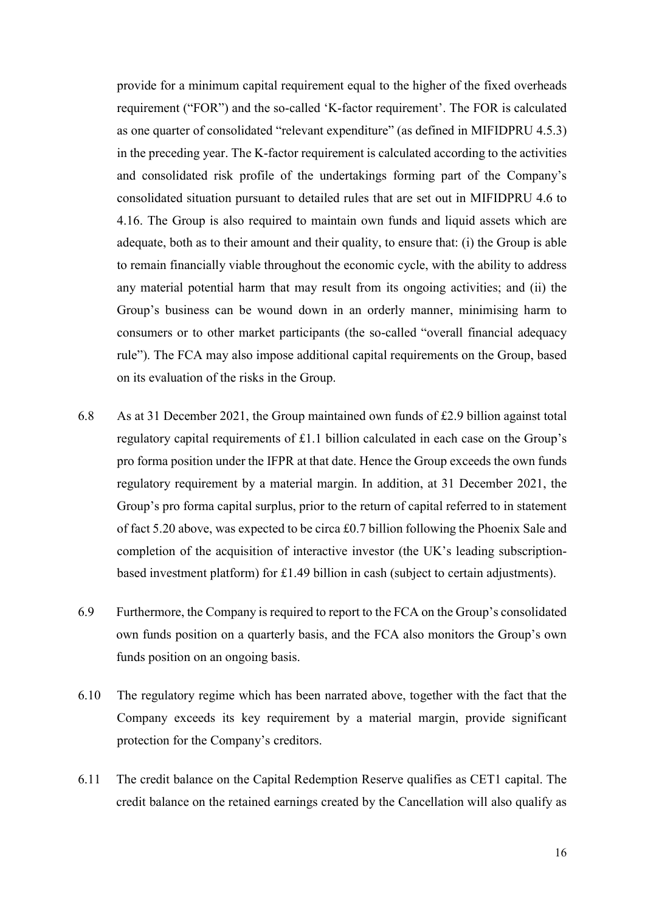provide for a minimum capital requirement equal to the higher of the fixed overheads requirement ("FOR") and the so-called 'K-factor requirement'. The FOR is calculated as one quarter of consolidated "relevant expenditure" (as defined in MIFIDPRU 4.5.3) in the preceding year. The K-factor requirement is calculated according to the activities and consolidated risk profile of the undertakings forming part of the Company's consolidated situation pursuant to detailed rules that are set out in MIFIDPRU 4.6 to 4.16. The Group is also required to maintain own funds and liquid assets which are adequate, both as to their amount and their quality, to ensure that: (i) the Group is able to remain financially viable throughout the economic cycle, with the ability to address any material potential harm that may result from its ongoing activities; and (ii) the Group's business can be wound down in an orderly manner, minimising harm to consumers or to other market participants (the so-called "overall financial adequacy rule"). The FCA may also impose additional capital requirements on the Group, based on its evaluation of the risks in the Group.

- 6.8 As at 31 December 2021, the Group maintained own funds of £2.9 billion against total regulatory capital requirements of £1.1 billion calculated in each case on the Group's pro forma position under the IFPR at that date. Hence the Group exceeds the own funds regulatory requirement by a material margin. In addition, at 31 December 2021, the Group's pro forma capital surplus, prior to the return of capital referred to in statement of fact 5.20 above, was expected to be circa £0.7 billion following the Phoenix Sale and completion of the acquisition of interactive investor (the UK's leading subscriptionbased investment platform) for £1.49 billion in cash (subject to certain adjustments).
- 6.9 Furthermore, the Company is required to report to the FCA on the Group's consolidated own funds position on a quarterly basis, and the FCA also monitors the Group's own funds position on an ongoing basis.
- 6.10 The regulatory regime which has been narrated above, together with the fact that the Company exceeds its key requirement by a material margin, provide significant protection for the Company's creditors.
- 6.11 The credit balance on the Capital Redemption Reserve qualifies as CET1 capital. The credit balance on the retained earnings created by the Cancellation will also qualify as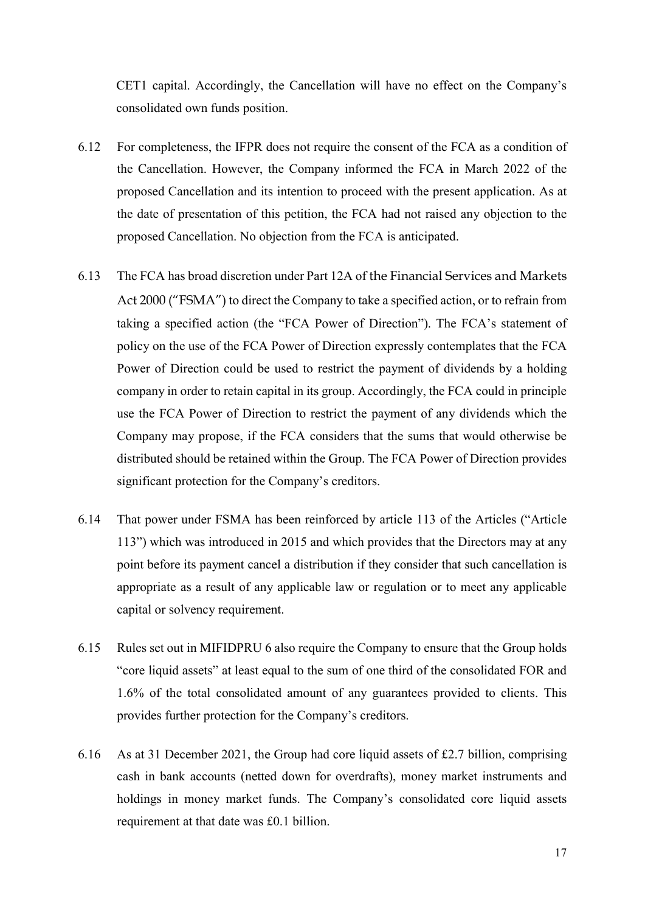CET1 capital. Accordingly, the Cancellation will have no effect on the Company's consolidated own funds position.

- 6.12 For completeness, the IFPR does not require the consent of the FCA as a condition of the Cancellation. However, the Company informed the FCA in March 2022 of the proposed Cancellation and its intention to proceed with the present application. As at the date of presentation of this petition, the FCA had not raised any objection to the proposed Cancellation. No objection from the FCA is anticipated.
- 6.13 The FCA has broad discretion under Part 12A of the Financial Services and Markets Act 2000 ("FSMA") to direct the Company to take a specified action, or to refrain from taking a specified action (the "FCA Power of Direction"). The FCA's statement of policy on the use of the FCA Power of Direction expressly contemplates that the FCA Power of Direction could be used to restrict the payment of dividends by a holding company in order to retain capital in its group. Accordingly, the FCA could in principle use the FCA Power of Direction to restrict the payment of any dividends which the Company may propose, if the FCA considers that the sums that would otherwise be distributed should be retained within the Group. The FCA Power of Direction provides significant protection for the Company's creditors.
- 6.14 That power under FSMA has been reinforced by article 113 of the Articles ("Article 113") which was introduced in 2015 and which provides that the Directors may at any point before its payment cancel a distribution if they consider that such cancellation is appropriate as a result of any applicable law or regulation or to meet any applicable capital or solvency requirement.
- 6.15 Rules set out in MIFIDPRU 6 also require the Company to ensure that the Group holds "core liquid assets" at least equal to the sum of one third of the consolidated FOR and 1.6% of the total consolidated amount of any guarantees provided to clients. This provides further protection for the Company's creditors.
- 6.16 As at 31 December 2021, the Group had core liquid assets of £2.7 billion, comprising cash in bank accounts (netted down for overdrafts), money market instruments and holdings in money market funds. The Company's consolidated core liquid assets requirement at that date was £0.1 billion.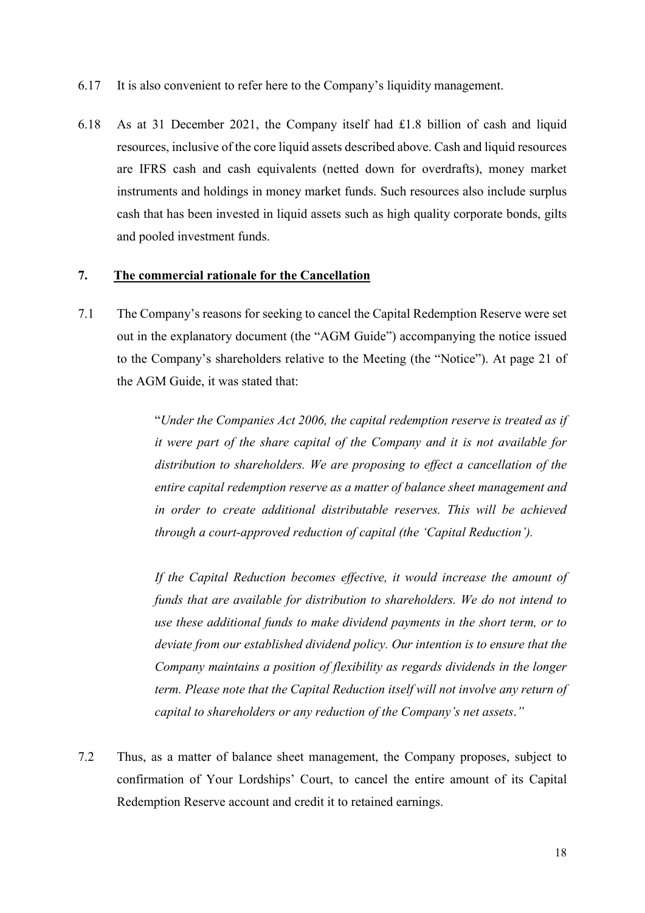- 6.17 It is also convenient to refer here to the Company's liquidity management.
- 6.18 As at 31 December 2021, the Company itself had £1.8 billion of cash and liquid resources, inclusive of the core liquid assets described above. Cash and liquid resources are IFRS cash and cash equivalents (netted down for overdrafts), money market instruments and holdings in money market funds. Such resources also include surplus cash that has been invested in liquid assets such as high quality corporate bonds, gilts and pooled investment funds.

### 7. The commercial rationale for the Cancellation

7.1 The Company's reasons for seeking to cancel the Capital Redemption Reserve were set out in the explanatory document (the "AGM Guide") accompanying the notice issued to the Company's shareholders relative to the Meeting (the "Notice"). At page 21 of the AGM Guide, it was stated that:

> "Under the Companies Act 2006, the capital redemption reserve is treated as if it were part of the share capital of the Company and it is not available for distribution to shareholders. We are proposing to effect a cancellation of the entire capital redemption reserve as a matter of balance sheet management and in order to create additional distributable reserves. This will be achieved through a court-approved reduction of capital (the 'Capital Reduction').

> If the Capital Reduction becomes effective, it would increase the amount of funds that are available for distribution to shareholders. We do not intend to use these additional funds to make dividend payments in the short term, or to deviate from our established dividend policy. Our intention is to ensure that the Company maintains a position of flexibility as regards dividends in the longer term. Please note that the Capital Reduction itself will not involve any return of capital to shareholders or any reduction of the Company's net assets."

7.2 Thus, as a matter of balance sheet management, the Company proposes, subject to confirmation of Your Lordships' Court, to cancel the entire amount of its Capital Redemption Reserve account and credit it to retained earnings.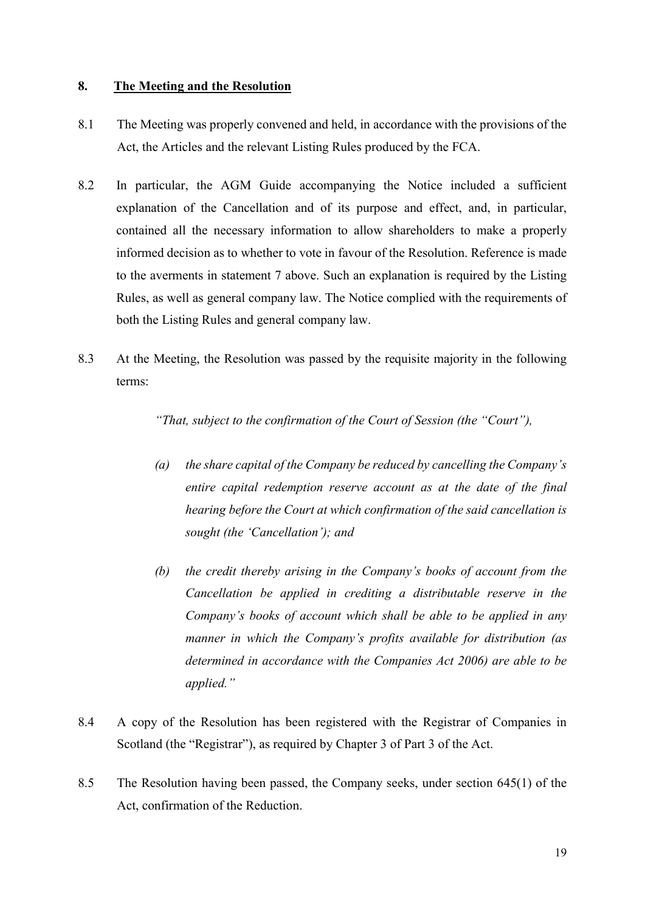#### 8. The Meeting and the Resolution

- 8.1 The Meeting was properly convened and held, in accordance with the provisions of the Act, the Articles and the relevant Listing Rules produced by the FCA.
- 8.2 In particular, the AGM Guide accompanying the Notice included a sufficient explanation of the Cancellation and of its purpose and effect, and, in particular, contained all the necessary information to allow shareholders to make a properly informed decision as to whether to vote in favour of the Resolution. Reference is made to the averments in statement 7 above. Such an explanation is required by the Listing Rules, as well as general company law. The Notice complied with the requirements of both the Listing Rules and general company law.
- 8.3 At the Meeting, the Resolution was passed by the requisite majority in the following terms:

"That, subject to the confirmation of the Court of Session (the "Court"),

- (a) the share capital of the Company be reduced by cancelling the Company's entire capital redemption reserve account as at the date of the final hearing before the Court at which confirmation of the said cancellation is sought (the 'Cancellation'); and
- (b) the credit thereby arising in the Company's books of account from the Cancellation be applied in crediting a distributable reserve in the Company's books of account which shall be able to be applied in any manner in which the Company's profits available for distribution (as determined in accordance with the Companies Act 2006) are able to be applied."
- 8.4 A copy of the Resolution has been registered with the Registrar of Companies in Scotland (the "Registrar"), as required by Chapter 3 of Part 3 of the Act.
- 8.5 The Resolution having been passed, the Company seeks, under section 645(1) of the Act, confirmation of the Reduction.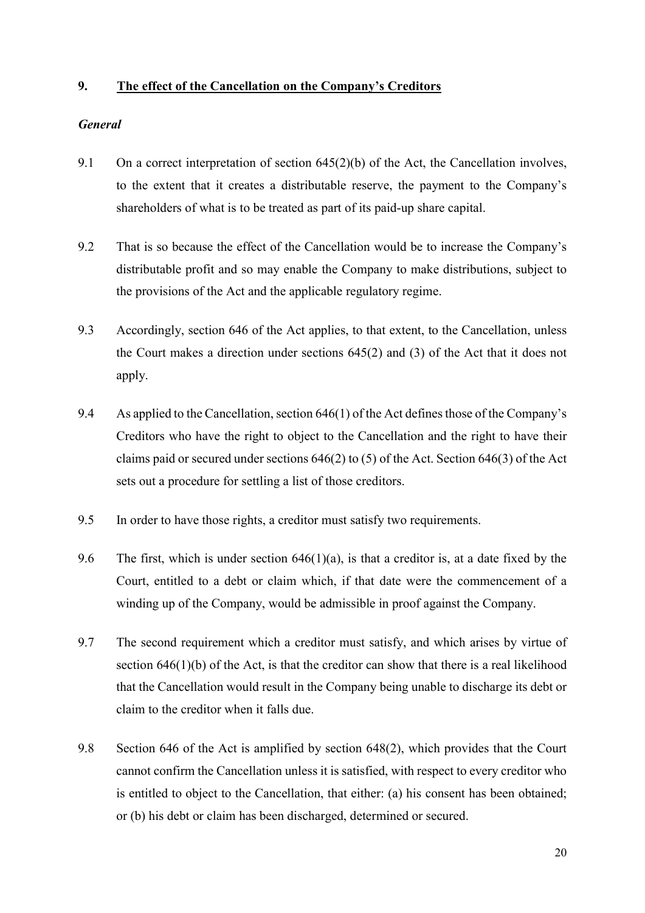## 9. The effect of the Cancellation on the Company's Creditors

#### General

- 9.1 On a correct interpretation of section 645(2)(b) of the Act, the Cancellation involves, to the extent that it creates a distributable reserve, the payment to the Company's shareholders of what is to be treated as part of its paid-up share capital.
- 9.2 That is so because the effect of the Cancellation would be to increase the Company's distributable profit and so may enable the Company to make distributions, subject to the provisions of the Act and the applicable regulatory regime.
- 9.3 Accordingly, section 646 of the Act applies, to that extent, to the Cancellation, unless the Court makes a direction under sections 645(2) and (3) of the Act that it does not apply.
- 9.4 As applied to the Cancellation, section 646(1) of the Act defines those of the Company's Creditors who have the right to object to the Cancellation and the right to have their claims paid or secured under sections 646(2) to (5) of the Act. Section 646(3) of the Act sets out a procedure for settling a list of those creditors.
- 9.5 In order to have those rights, a creditor must satisfy two requirements.
- 9.6 The first, which is under section  $646(1)(a)$ , is that a creditor is, at a date fixed by the Court, entitled to a debt or claim which, if that date were the commencement of a winding up of the Company, would be admissible in proof against the Company.
- 9.7 The second requirement which a creditor must satisfy, and which arises by virtue of section 646(1)(b) of the Act, is that the creditor can show that there is a real likelihood that the Cancellation would result in the Company being unable to discharge its debt or claim to the creditor when it falls due.
- 9.8 Section 646 of the Act is amplified by section 648(2), which provides that the Court cannot confirm the Cancellation unless it is satisfied, with respect to every creditor who is entitled to object to the Cancellation, that either: (a) his consent has been obtained; or (b) his debt or claim has been discharged, determined or secured.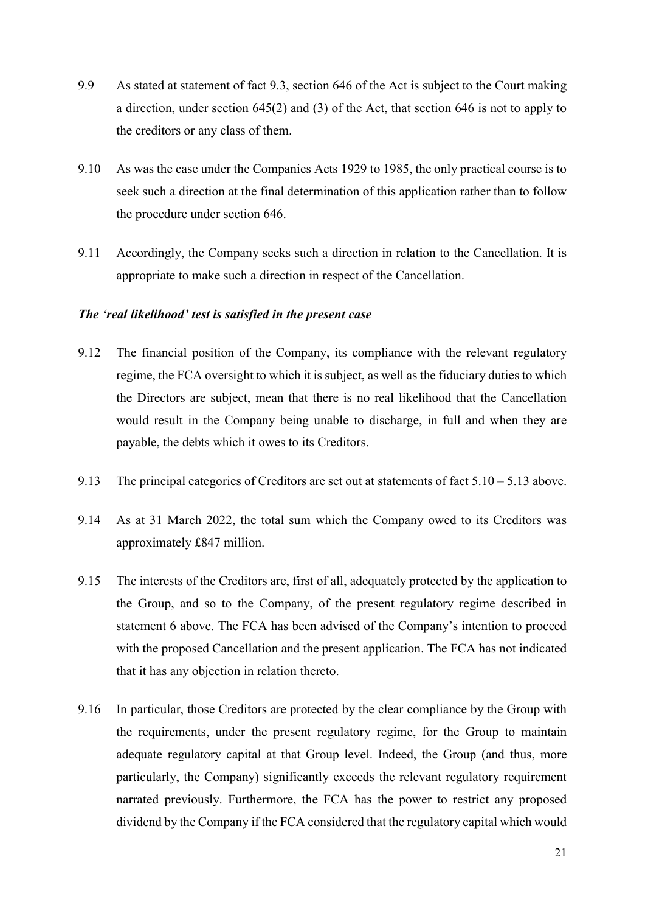- 9.9 As stated at statement of fact 9.3, section 646 of the Act is subject to the Court making a direction, under section 645(2) and (3) of the Act, that section 646 is not to apply to the creditors or any class of them.
- 9.10 As was the case under the Companies Acts 1929 to 1985, the only practical course is to seek such a direction at the final determination of this application rather than to follow the procedure under section 646.
- 9.11 Accordingly, the Company seeks such a direction in relation to the Cancellation. It is appropriate to make such a direction in respect of the Cancellation.

## The 'real likelihood' test is satisfied in the present case

- 9.12 The financial position of the Company, its compliance with the relevant regulatory regime, the FCA oversight to which it is subject, as well as the fiduciary duties to which the Directors are subject, mean that there is no real likelihood that the Cancellation would result in the Company being unable to discharge, in full and when they are payable, the debts which it owes to its Creditors.
- 9.13 The principal categories of Creditors are set out at statements of fact  $5.10 5.13$  above.
- 9.14 As at 31 March 2022, the total sum which the Company owed to its Creditors was approximately £847 million.
- 9.15 The interests of the Creditors are, first of all, adequately protected by the application to the Group, and so to the Company, of the present regulatory regime described in statement 6 above. The FCA has been advised of the Company's intention to proceed with the proposed Cancellation and the present application. The FCA has not indicated that it has any objection in relation thereto.
- 9.16 In particular, those Creditors are protected by the clear compliance by the Group with the requirements, under the present regulatory regime, for the Group to maintain adequate regulatory capital at that Group level. Indeed, the Group (and thus, more particularly, the Company) significantly exceeds the relevant regulatory requirement narrated previously. Furthermore, the FCA has the power to restrict any proposed dividend by the Company if the FCA considered that the regulatory capital which would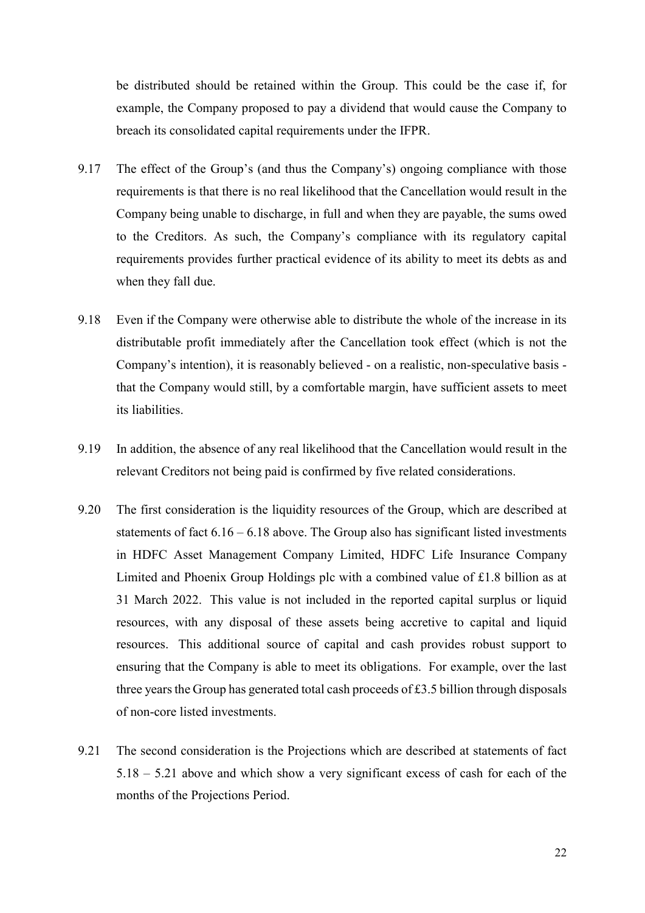be distributed should be retained within the Group. This could be the case if, for example, the Company proposed to pay a dividend that would cause the Company to breach its consolidated capital requirements under the IFPR.

- 9.17 The effect of the Group's (and thus the Company's) ongoing compliance with those requirements is that there is no real likelihood that the Cancellation would result in the Company being unable to discharge, in full and when they are payable, the sums owed to the Creditors. As such, the Company's compliance with its regulatory capital requirements provides further practical evidence of its ability to meet its debts as and when they fall due.
- 9.18 Even if the Company were otherwise able to distribute the whole of the increase in its distributable profit immediately after the Cancellation took effect (which is not the Company's intention), it is reasonably believed - on a realistic, non-speculative basis that the Company would still, by a comfortable margin, have sufficient assets to meet its liabilities.
- 9.19 In addition, the absence of any real likelihood that the Cancellation would result in the relevant Creditors not being paid is confirmed by five related considerations.
- 9.20 The first consideration is the liquidity resources of the Group, which are described at statements of fact  $6.16 - 6.18$  above. The Group also has significant listed investments in HDFC Asset Management Company Limited, HDFC Life Insurance Company Limited and Phoenix Group Holdings plc with a combined value of £1.8 billion as at 31 March 2022. This value is not included in the reported capital surplus or liquid resources, with any disposal of these assets being accretive to capital and liquid resources. This additional source of capital and cash provides robust support to ensuring that the Company is able to meet its obligations. For example, over the last three years the Group has generated total cash proceeds of £3.5 billion through disposals of non-core listed investments.
- 9.21 The second consideration is the Projections which are described at statements of fact 5.18 – 5.21 above and which show a very significant excess of cash for each of the months of the Projections Period.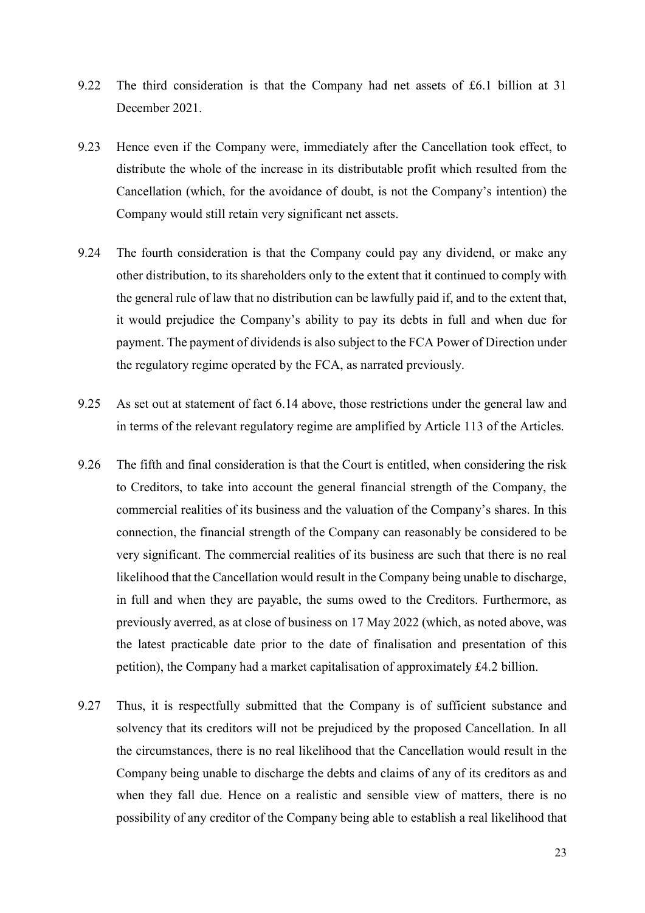- 9.22 The third consideration is that the Company had net assets of £6.1 billion at 31 December 2021.
- 9.23 Hence even if the Company were, immediately after the Cancellation took effect, to distribute the whole of the increase in its distributable profit which resulted from the Cancellation (which, for the avoidance of doubt, is not the Company's intention) the Company would still retain very significant net assets.
- 9.24 The fourth consideration is that the Company could pay any dividend, or make any other distribution, to its shareholders only to the extent that it continued to comply with the general rule of law that no distribution can be lawfully paid if, and to the extent that, it would prejudice the Company's ability to pay its debts in full and when due for payment. The payment of dividends is also subject to the FCA Power of Direction under the regulatory regime operated by the FCA, as narrated previously.
- 9.25 As set out at statement of fact 6.14 above, those restrictions under the general law and in terms of the relevant regulatory regime are amplified by Article 113 of the Articles.
- 9.26 The fifth and final consideration is that the Court is entitled, when considering the risk to Creditors, to take into account the general financial strength of the Company, the commercial realities of its business and the valuation of the Company's shares. In this connection, the financial strength of the Company can reasonably be considered to be very significant. The commercial realities of its business are such that there is no real likelihood that the Cancellation would result in the Company being unable to discharge, in full and when they are payable, the sums owed to the Creditors. Furthermore, as previously averred, as at close of business on 17 May 2022 (which, as noted above, was the latest practicable date prior to the date of finalisation and presentation of this petition), the Company had a market capitalisation of approximately £4.2 billion.
- 9.27 Thus, it is respectfully submitted that the Company is of sufficient substance and solvency that its creditors will not be prejudiced by the proposed Cancellation. In all the circumstances, there is no real likelihood that the Cancellation would result in the Company being unable to discharge the debts and claims of any of its creditors as and when they fall due. Hence on a realistic and sensible view of matters, there is no possibility of any creditor of the Company being able to establish a real likelihood that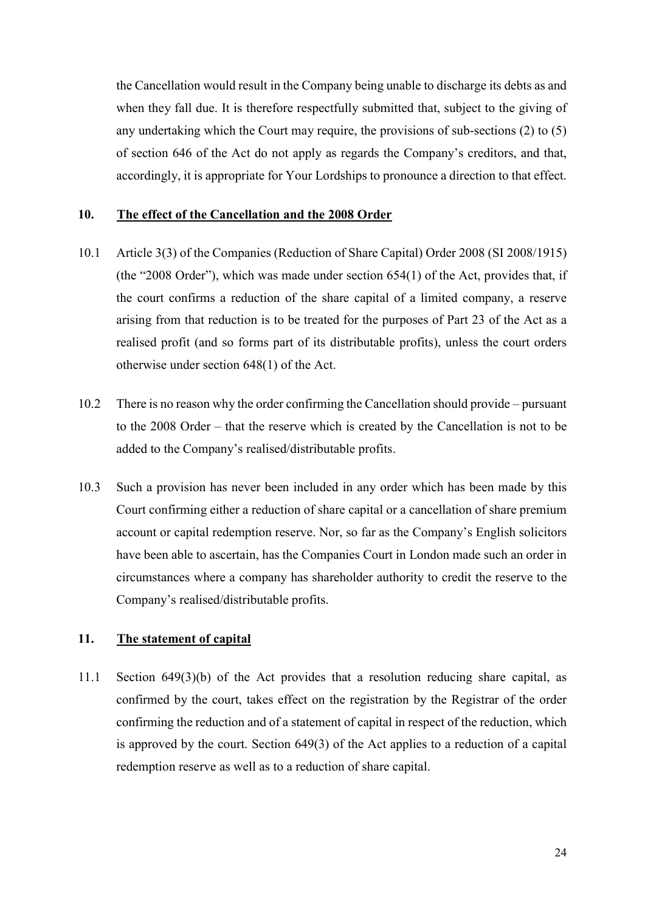the Cancellation would result in the Company being unable to discharge its debts as and when they fall due. It is therefore respectfully submitted that, subject to the giving of any undertaking which the Court may require, the provisions of sub-sections (2) to (5) of section 646 of the Act do not apply as regards the Company's creditors, and that, accordingly, it is appropriate for Your Lordships to pronounce a direction to that effect.

#### 10. The effect of the Cancellation and the 2008 Order

- 10.1 Article 3(3) of the Companies (Reduction of Share Capital) Order 2008 (SI 2008/1915) (the "2008 Order"), which was made under section 654(1) of the Act, provides that, if the court confirms a reduction of the share capital of a limited company, a reserve arising from that reduction is to be treated for the purposes of Part 23 of the Act as a realised profit (and so forms part of its distributable profits), unless the court orders otherwise under section 648(1) of the Act.
- 10.2 There is no reason why the order confirming the Cancellation should provide pursuant to the 2008 Order – that the reserve which is created by the Cancellation is not to be added to the Company's realised/distributable profits.
- 10.3 Such a provision has never been included in any order which has been made by this Court confirming either a reduction of share capital or a cancellation of share premium account or capital redemption reserve. Nor, so far as the Company's English solicitors have been able to ascertain, has the Companies Court in London made such an order in circumstances where a company has shareholder authority to credit the reserve to the Company's realised/distributable profits.

### 11. The statement of capital

11.1 Section 649(3)(b) of the Act provides that a resolution reducing share capital, as confirmed by the court, takes effect on the registration by the Registrar of the order confirming the reduction and of a statement of capital in respect of the reduction, which is approved by the court. Section 649(3) of the Act applies to a reduction of a capital redemption reserve as well as to a reduction of share capital.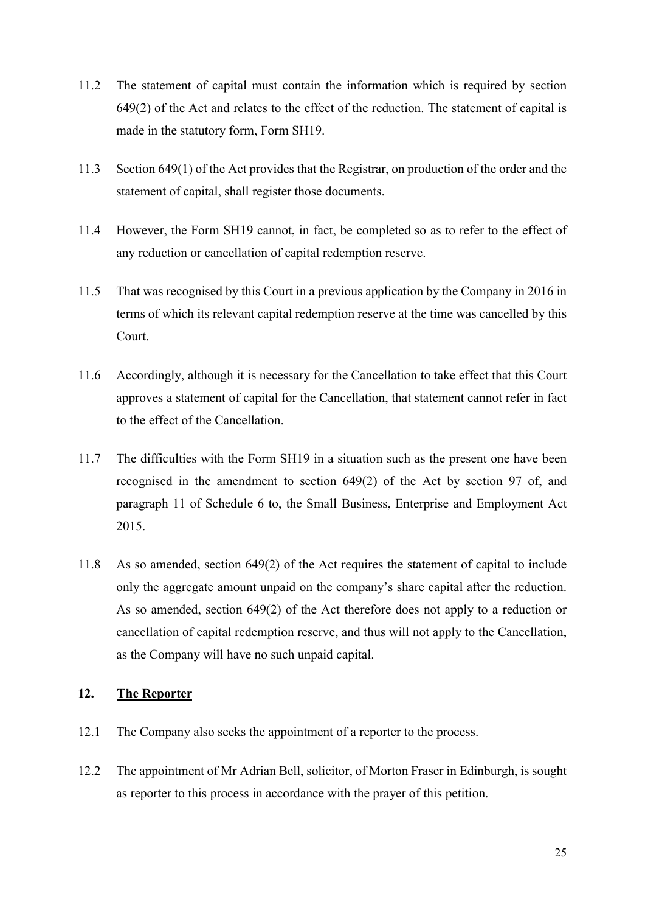- 11.2 The statement of capital must contain the information which is required by section 649(2) of the Act and relates to the effect of the reduction. The statement of capital is made in the statutory form, Form SH19.
- 11.3 Section 649(1) of the Act provides that the Registrar, on production of the order and the statement of capital, shall register those documents.
- 11.4 However, the Form SH19 cannot, in fact, be completed so as to refer to the effect of any reduction or cancellation of capital redemption reserve.
- 11.5 That was recognised by this Court in a previous application by the Company in 2016 in terms of which its relevant capital redemption reserve at the time was cancelled by this Court.
- 11.6 Accordingly, although it is necessary for the Cancellation to take effect that this Court approves a statement of capital for the Cancellation, that statement cannot refer in fact to the effect of the Cancellation.
- 11.7 The difficulties with the Form SH19 in a situation such as the present one have been recognised in the amendment to section 649(2) of the Act by section 97 of, and paragraph 11 of Schedule 6 to, the Small Business, Enterprise and Employment Act 2015.
- 11.8 As so amended, section 649(2) of the Act requires the statement of capital to include only the aggregate amount unpaid on the company's share capital after the reduction. As so amended, section 649(2) of the Act therefore does not apply to a reduction or cancellation of capital redemption reserve, and thus will not apply to the Cancellation, as the Company will have no such unpaid capital.

## 12. The Reporter

- 12.1 The Company also seeks the appointment of a reporter to the process.
- 12.2 The appointment of Mr Adrian Bell, solicitor, of Morton Fraser in Edinburgh, is sought as reporter to this process in accordance with the prayer of this petition.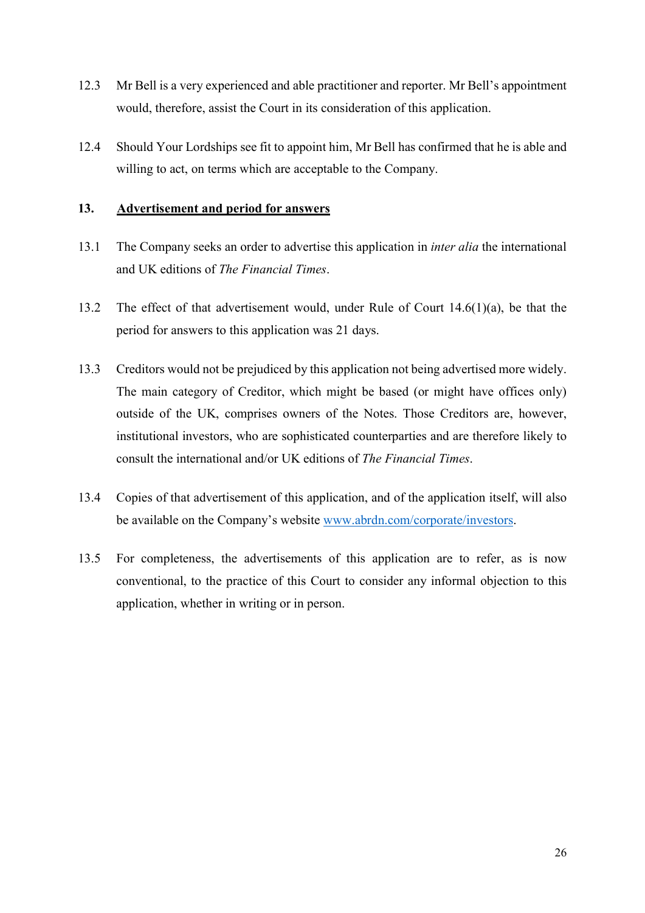- 12.3 Mr Bell is a very experienced and able practitioner and reporter. Mr Bell's appointment would, therefore, assist the Court in its consideration of this application.
- 12.4 Should Your Lordships see fit to appoint him, Mr Bell has confirmed that he is able and willing to act, on terms which are acceptable to the Company.

### 13. Advertisement and period for answers

- 13.1 The Company seeks an order to advertise this application in *inter alia* the international and UK editions of The Financial Times.
- 13.2 The effect of that advertisement would, under Rule of Court 14.6(1)(a), be that the period for answers to this application was 21 days.
- 13.3 Creditors would not be prejudiced by this application not being advertised more widely. The main category of Creditor, which might be based (or might have offices only) outside of the UK, comprises owners of the Notes. Those Creditors are, however, institutional investors, who are sophisticated counterparties and are therefore likely to consult the international and/or UK editions of The Financial Times.
- 13.4 Copies of that advertisement of this application, and of the application itself, will also be available on the Company's website www.abrdn.com/corporate/investors.
- 13.5 For completeness, the advertisements of this application are to refer, as is now conventional, to the practice of this Court to consider any informal objection to this application, whether in writing or in person.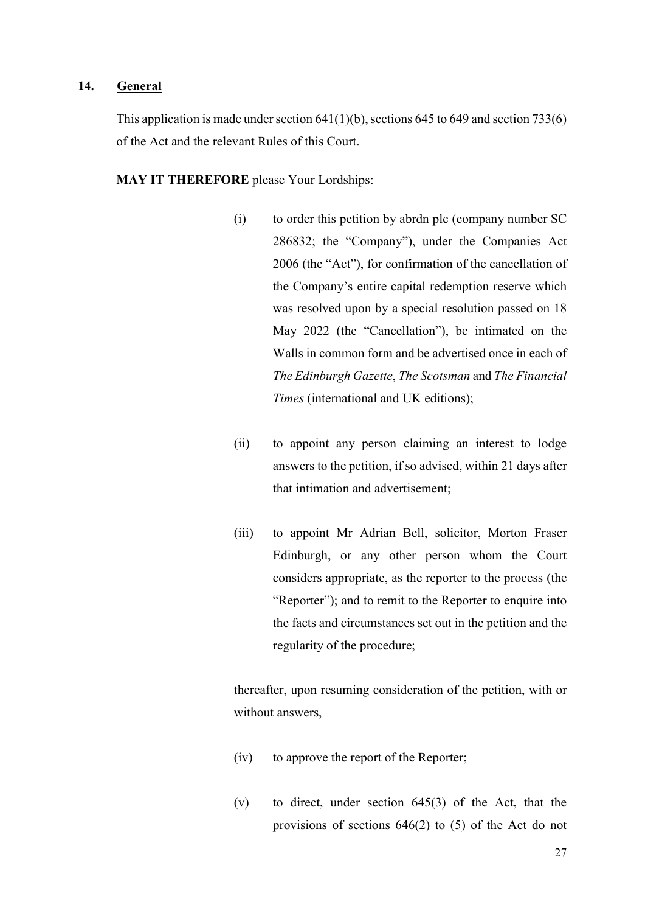### 14. General

This application is made under section  $641(1)(b)$ , sections  $645$  to  $649$  and section  $733(6)$ of the Act and the relevant Rules of this Court.

MAY IT THEREFORE please Your Lordships:

- (i) to order this petition by abrdn plc (company number SC 286832; the "Company"), under the Companies Act 2006 (the "Act"), for confirmation of the cancellation of the Company's entire capital redemption reserve which was resolved upon by a special resolution passed on 18 May 2022 (the "Cancellation"), be intimated on the Walls in common form and be advertised once in each of The Edinburgh Gazette, The Scotsman and The Financial Times (international and UK editions);
- (ii) to appoint any person claiming an interest to lodge answers to the petition, if so advised, within 21 days after that intimation and advertisement;
- (iii) to appoint Mr Adrian Bell, solicitor, Morton Fraser Edinburgh, or any other person whom the Court considers appropriate, as the reporter to the process (the "Reporter"); and to remit to the Reporter to enquire into the facts and circumstances set out in the petition and the regularity of the procedure;

thereafter, upon resuming consideration of the petition, with or without answers,

- (iv) to approve the report of the Reporter;
- (v) to direct, under section 645(3) of the Act, that the provisions of sections 646(2) to (5) of the Act do not